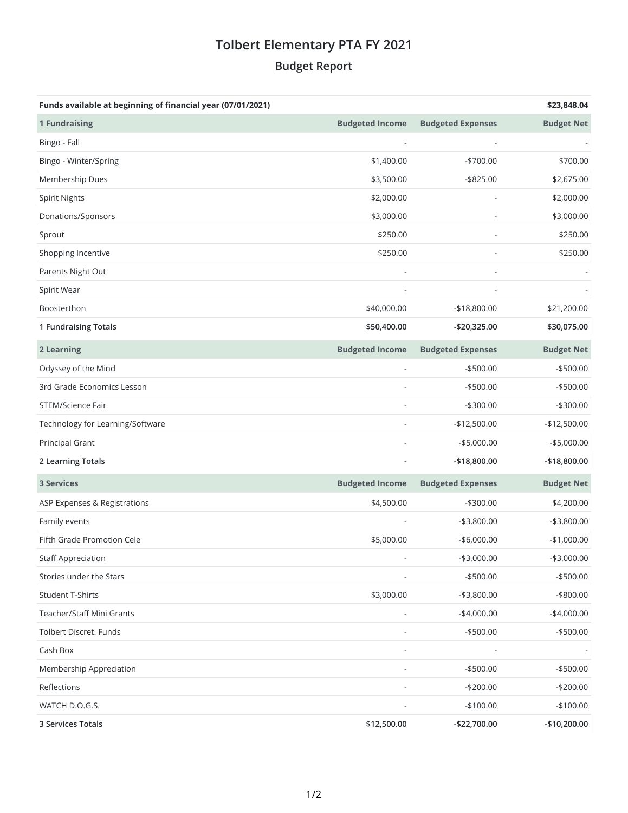## **Tolbert Elementary PTA FY 2021 Budget Report**

| Funds available at beginning of financial year (07/01/2021) |                        |                          | \$23,848.04       |
|-------------------------------------------------------------|------------------------|--------------------------|-------------------|
| <b>1 Fundraising</b>                                        | <b>Budgeted Income</b> | <b>Budgeted Expenses</b> | <b>Budget Net</b> |
| Bingo - Fall                                                |                        |                          |                   |
| Bingo - Winter/Spring                                       | \$1,400.00             | $-$700.00$               | \$700.00          |
| Membership Dues                                             | \$3,500.00             | $-$ \$825.00             | \$2,675.00        |
| <b>Spirit Nights</b>                                        | \$2,000.00             |                          | \$2,000.00        |
| Donations/Sponsors                                          | \$3,000.00             |                          | \$3,000.00        |
| Sprout                                                      | \$250.00               |                          | \$250.00          |
| Shopping Incentive                                          | \$250.00               |                          | \$250.00          |
| Parents Night Out                                           |                        |                          |                   |
| Spirit Wear                                                 |                        |                          |                   |
| Boosterthon                                                 | \$40,000.00            | $-$18,800.00$            | \$21,200.00       |
| 1 Fundraising Totals                                        | \$50,400.00            | -\$20,325.00             | \$30,075.00       |
| 2 Learning                                                  | <b>Budgeted Income</b> | <b>Budgeted Expenses</b> | <b>Budget Net</b> |
| Odyssey of the Mind                                         |                        | $-$500.00$               | $-$500.00$        |
| 3rd Grade Economics Lesson                                  |                        | $-$500.00$               | $-$500.00$        |
| STEM/Science Fair                                           |                        | $-$300.00$               | $-$300.00$        |
| Technology for Learning/Software                            |                        | $-$12,500.00$            | $-$12,500.00$     |
| Principal Grant                                             |                        | $-$5,000.00$             | $-$5,000.00$      |
| 2 Learning Totals                                           |                        | -\$18,800.00             | -\$18,800.00      |
| <b>3 Services</b>                                           | <b>Budgeted Income</b> | <b>Budgeted Expenses</b> | <b>Budget Net</b> |
| ASP Expenses & Registrations                                | \$4,500.00             | $-$300.00$               | \$4,200.00        |
| Family events                                               |                        | $- $3,800.00$            | $-$3,800.00$      |
| Fifth Grade Promotion Cele                                  | \$5,000.00             | $-$6,000.00$             | $-$1,000.00$      |
| <b>Staff Appreciation</b>                                   |                        | $-$3,000.00$             | $-$3,000.00$      |
| Stories under the Stars                                     |                        | $-$500.00$               | $-$ \$500.00      |
| Student T-Shirts                                            | \$3,000.00             | $-$3,800.00$             | -\$800.00         |
| Teacher/Staff Mini Grants                                   |                        | $-$4,000.00$             | $-$4,000.00$      |
| Tolbert Discret. Funds                                      |                        | $- $500.00$              | $-$ \$500.00      |
| Cash Box                                                    |                        |                          |                   |
| Membership Appreciation                                     |                        | $-$500.00$               | $-$ \$500.00      |
| Reflections                                                 |                        | $-$200.00$               | $-$200.00$        |
| WATCH D.O.G.S.                                              |                        | $-$100.00$               | $-$100.00$        |
| 3 Services Totals                                           | \$12,500.00            | -\$22,700.00             | $-$10,200.00$     |